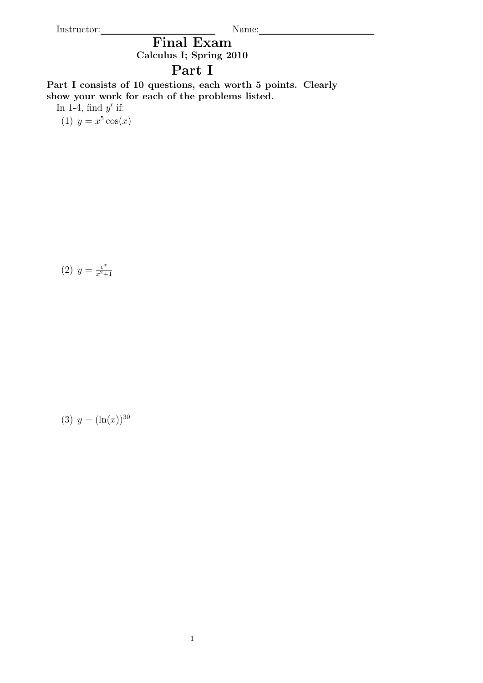Instructor: Name: Name: Name: Name: Name: Name: Name: Name: Name: Name: Name: Name: Name: Name: Name: Name: Name: Name: Name: Name: Name: Name: Name: Name: Name: Name: Name: Name: Name: Name: Name: Name: Name: Name: Name:

Final Exam Calculus I; Spring 2010

## Part I

Part I consists of 10 questions, each worth 5 points. Clearly show your work for each of the problems listed.

In 1-4, find  $y'$  if:

(1)  $y = x^5 \cos(x)$ 

(2) 
$$
y = \frac{e^x}{x^2 + 1}
$$

$$
(3) \ y = (\ln(x))^{30}
$$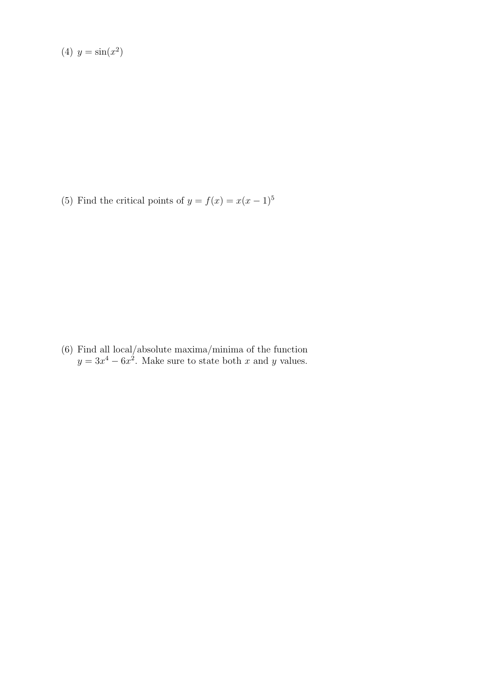$$
(4) y = \sin(x^2)
$$

(5) Find the critical points of  $y = f(x) = x(x - 1)^5$ 

(6) Find all local/absolute maxima/minima of the function  $y = 3x^4 - 6x^2$ . Make sure to state both x and y values.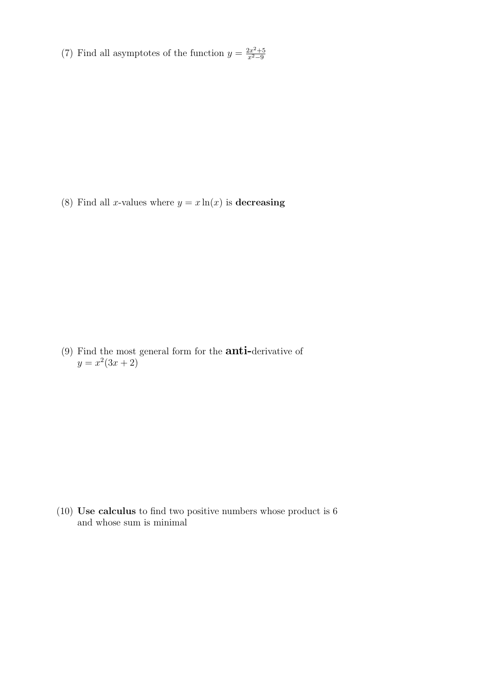(7) Find all asymptotes of the function  $y = \frac{2x^2+5}{x^2-9}$  $x^2-9$ 

(8) Find all x-values where  $y = x \ln(x)$  is decreasing

(9) Find the most general form for the anti-derivative of  $y = x^2(3x + 2)$ 

(10) Use calculus to find two positive numbers whose product is 6 and whose sum is minimal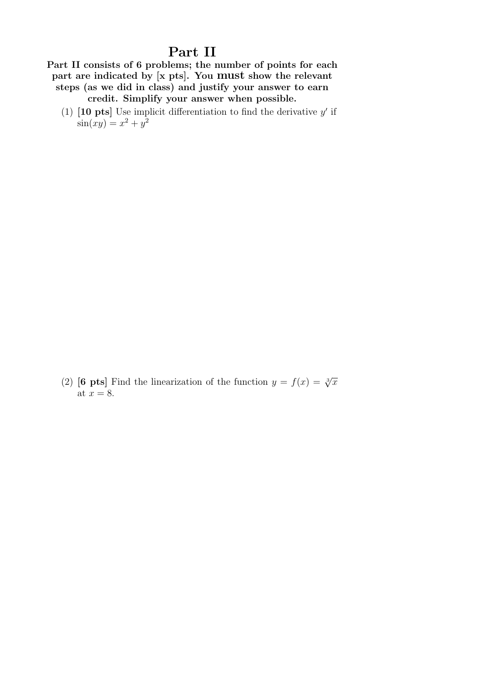## Part II

Part II consists of 6 problems; the number of points for each part are indicated by [x pts]. You must show the relevant steps (as we did in class) and justify your answer to earn credit. Simplify your answer when possible.

(1)  $\begin{bmatrix} 10 \text{ pts} \end{bmatrix}$  Use implicit differentiation to find the derivative y' if  $\sin(xy) = x^2 + y^2$ 

(2) [6 pts] Find the linearization of the function  $y = f(x) = \sqrt[3]{x}$ at  $x = 8$ .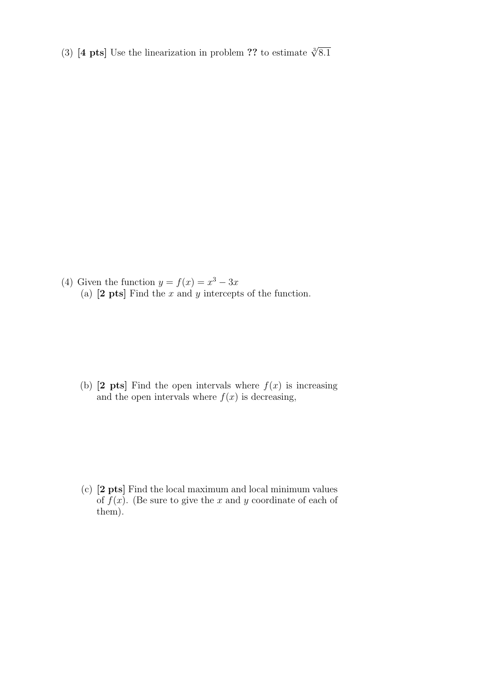(3) [4 pts] Use the linearization in problem ?? to estimate  $\sqrt[3]{8.1}$ 

(4) Given the function  $y = f(x) = x^3 - 3x$ (a)  $[2 \text{ pts}]$  Find the x and y intercepts of the function.

(b)  $[2 \text{pts}]$  Find the open intervals where  $f(x)$  is increasing and the open intervals where  $f(x)$  is decreasing,

(c) [2 pts] Find the local maximum and local minimum values of  $f(x)$ . (Be sure to give the x and y coordinate of each of them).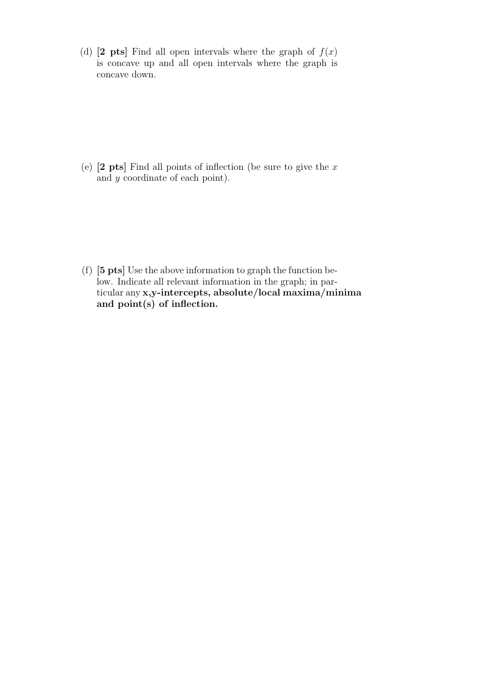(d)  $[2 \text{ pts}]$  Find all open intervals where the graph of  $f(x)$ is concave up and all open intervals where the graph is concave down.

(e)  $[2 \text{ pts}]$  Find all points of inflection (be sure to give the x and y coordinate of each point).

(f) [5 pts] Use the above information to graph the function below. Indicate all relevant information in the graph; in particular any x,y-intercepts, absolute/local maxima/minima and point(s) of inflection.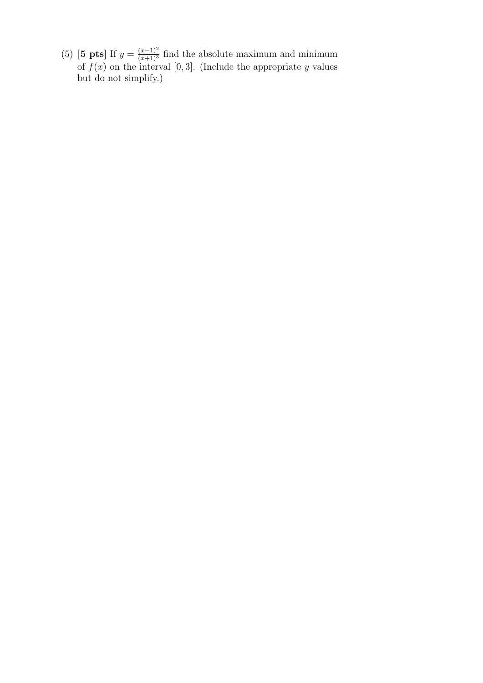(5) [5 pts] If  $y = \frac{(x-1)^2}{(x+1)^3}$  find the absolute maximum and minimum of  $f(x)$  on the interval [0,3]. (Include the appropriate y values but do not simplify.)